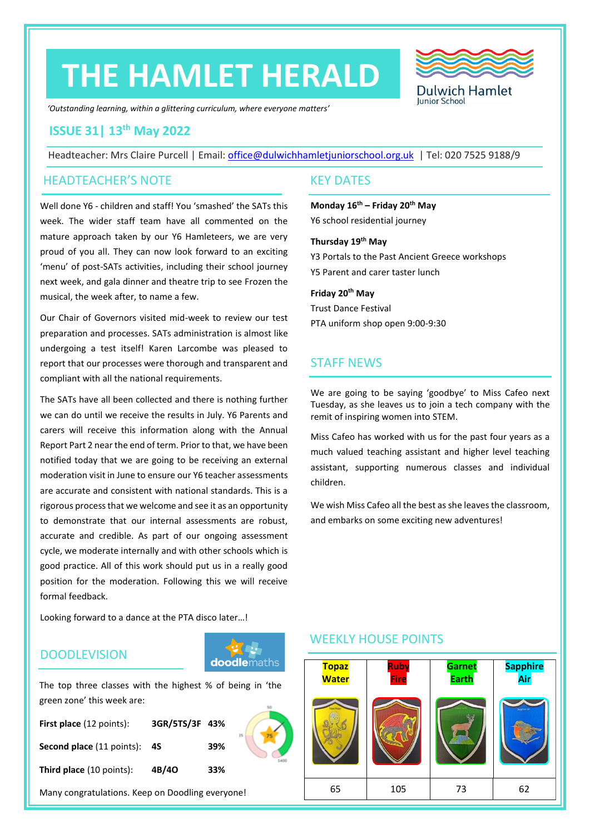# **THE HAMLET HERALD**



*'Outstanding learning, within a glittering curriculum, where everyone matters'*

#### **ISSUE 31| 13th May 2022**

Headteacher: Mrs Claire Purcell | Email: [office@dulwichhamletjuniorschool.org.uk](mailto:office@dulwichhamletjuniorschool.org.uk) | Tel: 020 7525 9188/9

#### HEADTEACHER'S NOTE KEY DATES

Well done Y6 - children and staff! You 'smashed' the SATs this week. The wider staff team have all commented on the mature approach taken by our Y6 Hamleteers, we are very proud of you all. They can now look forward to an exciting 'menu' of post-SATs activities, including their school journey next week, and gala dinner and theatre trip to see Frozen the musical, the week after, to name a few.

Our Chair of Governors visited mid-week to review our test preparation and processes. SATs administration is almost like undergoing a test itself! Karen Larcombe was pleased to report that our processes were thorough and transparent and compliant with all the national requirements.

The SATs have all been collected and there is nothing further we can do until we receive the results in July. Y6 Parents and carers will receive this information along with the Annual Report Part 2 near the end of term. Prior to that, we have been notified today that we are going to be receiving an external moderation visit in June to ensure our Y6 teacher assessments are accurate and consistent with national standards. This is a rigorous process that we welcome and see it as an opportunity to demonstrate that our internal assessments are robust, accurate and credible. As part of our ongoing assessment cycle, we moderate internally and with other schools which is good practice. All of this work should put us in a really good position for the moderation. Following this we will receive formal feedback.

Looking forward to a dance at the PTA disco later…!

#### **DOODLEVISION**



The top three classes with the highest % of being in 'the green zone' this week are:

| First place (12 points):         | 3GR/5TS/3F 43% |     | 25 |
|----------------------------------|----------------|-----|----|
| <b>Second place (11 points):</b> | -4S            | 39% |    |
| <b>Third place</b> (10 points):  | 4B/40          | 33% |    |

Many congratulations. Keep on Doodling everyone!

**Monday 16th – Friday 20th May** Y6 school residential journey

**Thursday 19th May** Y3 Portals to the Past Ancient Greece workshops Y5 Parent and carer taster lunch

**Friday 20 th May** Trust Dance Festival

PTA uniform shop open 9:00-9:30

### STAFF NEWS

We are going to be saying 'goodbye' to Miss Cafeo next Tuesday, as she leaves us to join a tech company with the remit of inspiring women into STEM.

Miss Cafeo has worked with us for the past four years as a much valued teaching assistant and higher level teaching assistant, supporting numerous classes and individual children.

We wish Miss Cafeo all the best as she leaves the classroom, and embarks on some exciting new adventures!

### **Topaz Water Ruby Fire Garnet Earth Sapphire Air** 65 105 73 62

### WEEKLY HOUSE POINTS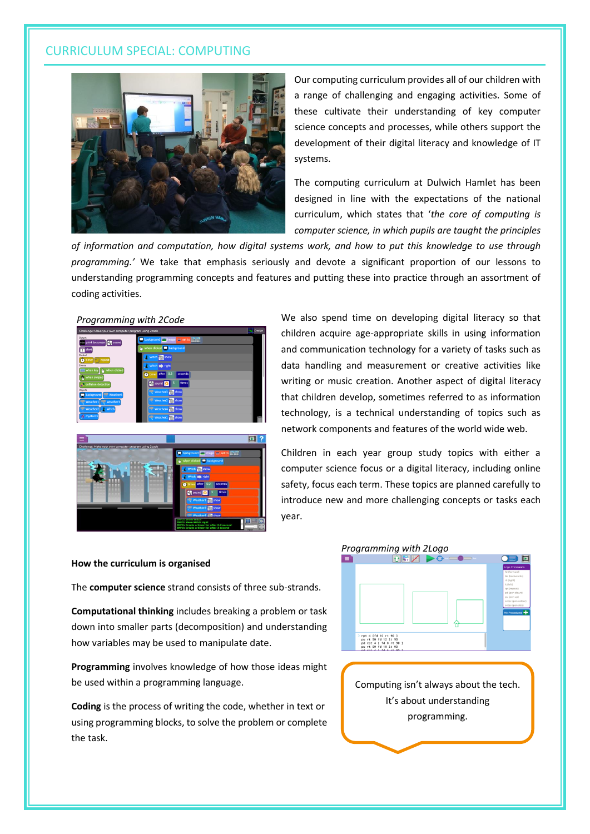#### CURRICULUM SPECIAL: COMPUTING



Our computing curriculum provides all of our children with a range of challenging and engaging activities. Some of these cultivate their understanding of key computer science concepts and processes, while others support the development of their digital literacy and knowledge of IT systems.

The computing curriculum at Dulwich Hamlet has been designed in line with the expectations of the national curriculum, which states that '*the core of computing is computer science, in which pupils are taught the principles* 

*of information and computation, how digital systems work, and how to put this knowledge to use through programming.'* We take that emphasis seriously and devote a significant proportion of our lessons to understanding programming concepts and features and putting these into practice through an assortment of coding activities.





We also spend time on developing digital literacy so that children acquire age-appropriate skills in using information and communication technology for a variety of tasks such as data handling and measurement or creative activities like writing or music creation. Another aspect of digital literacy that children develop, sometimes referred to as information technology, is a technical understanding of topics such as network components and features of the world wide web.



Children in each year group study topics with either a computer science focus or a digital literacy, including online safety, focus each term. These topics are planned carefully to introduce new and more challenging concepts or tasks each year.

#### **How the curriculum is organised**

The **computer science** strand consists of three sub-strands.

**Computational thinking** includes breaking a problem or task down into smaller parts (decomposition) and understanding how variables may be used to manipulate date.

**Programming** involves knowledge of how those ideas might be used within a programming language.

**Coding** is the process of writing the code, whether in text or using programming blocks, to solve the problem or complete the task.



Computing isn't always about the tech. It's about understanding programming.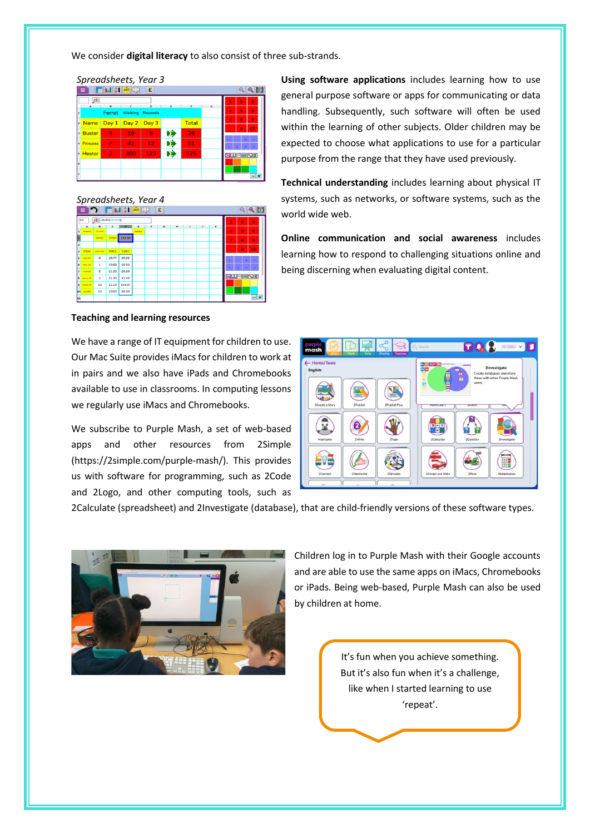We consider **digital literacy** to also consist of three sub-strands.

*Spreadsheets, Year 3*  $\sqrt{2}$ Ferret  $W<sub>2</sub>$ Day 1 Day 2 Day 3 **Total Name** Þ Þ вż .<br>¦A|∞|a|¶|E|

## *Spreadsheets, Year 4*



#### **Teaching and learning resources**

We have a range of IT equipment for children to use. Our Mac Suite provides iMacs for children to work at in pairs and we also have iPads and Chromebooks available to use in classrooms. In computing lessons we regularly use iMacs and Chromebooks.

We subscribe to Purple Mash, a set of web-based apps and other resources from 2Simple (https://2simple.com/purple-mash/). This provides us with software for programming, such as 2Code and 2Logo, and other computing tools, such as

**Using software applications** includes learning how to use general purpose software or apps for communicating or data handling. Subsequently, such software will often be used within the learning of other subjects. Older children may be expected to choose what applications to use for a particular purpose from the range that they have used previously.

**Technical understanding** includes learning about physical IT systems, such as networks, or software systems, such as the world wide web.

**Online communication and social awareness** includes learning how to respond to challenging situations online and being discerning when evaluating digital content.



2Calculate (spreadsheet) and 2Investigate (database), that are child-friendly versions of these software types.



Children log in to Purple Mash with their Google accounts and are able to use the same apps on iMacs, Chromebooks or iPads. Being web-based, Purple Mash can also be used by children at home.

> It's fun when you achieve something. But it's also fun when it's a challenge, like when I started learning to use 'repeat'.